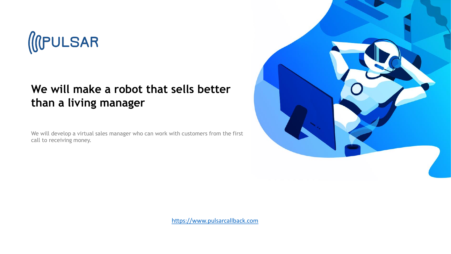

## **We will make a robot that sells better than a living manager**

We will develop a virtual sales manager who can work with customers from the first call to receiving money.



[https://www.pulsarcallback.com](https://www.pulsarcallback.com/)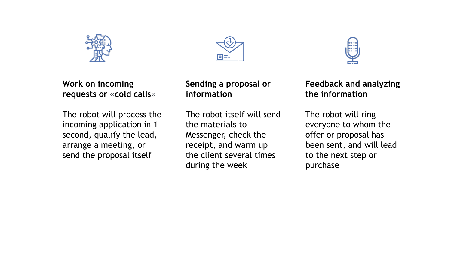





**Work on incoming requests or** «**cold calls**»

The robot will process the incoming application in 1 second, qualify the lead, arrange a meeting, or send the proposal itself

**Sending a proposal or information**

The robot itself will send the materials to Messenger, check the receipt, and warm up the client several times during the week

**Feedback and analyzing the information**

The robot will ring everyone to whom the offer or proposal has been sent, and will lead to the next step or purchase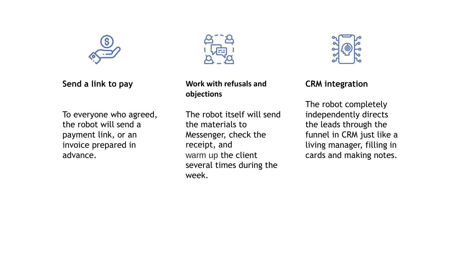

**Send a link to pay**

To everyone who agreed, the robot will send a payment link, or an invoice prepared in advance.



**Work with refusals and objections**

The robot itself will send the materials to Messenger, check the receipt, and warm up the client several times during the week.



**CRM integration**

The robot completely independently directs the leads through the funnel in CRM just like a living manager, filling in cards and making notes.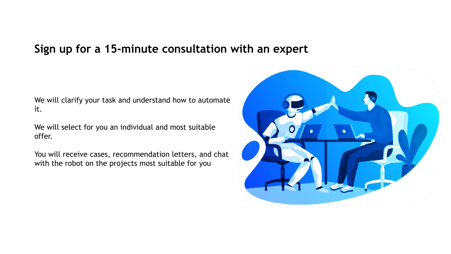## **Sign up for a 15-minute consultation with an expert**

We will clarify your task and understand how to automate it.

We will select for you an individual and most suitable offer.

You will receive cases, recommendation letters, and chat with the robot on the projects most suitable for you